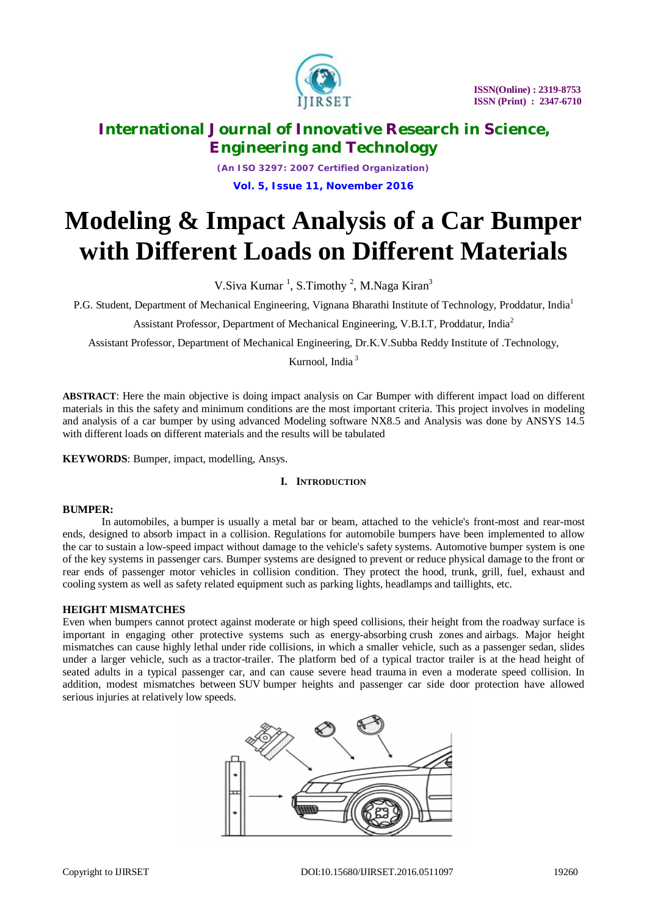

*(An ISO 3297: 2007 Certified Organization)* **Vol. 5, Issue 11, November 2016**

# **Modeling & Impact Analysis of a Car Bumper with Different Loads on Different Materials**

V.Siva Kumar<sup>1</sup>, S.Timothy<sup>2</sup>, M.Naga Kiran<sup>3</sup>

P.G. Student, Department of Mechanical Engineering, Vignana Bharathi Institute of Technology, Proddatur, India<sup>1</sup>

Assistant Professor, Department of Mechanical Engineering, V.B.I.T, Proddatur, India<sup>2</sup>

Assistant Professor, Department of Mechanical Engineering, Dr.K.V.Subba Reddy Institute of .Technology,

Kurnool, India <sup>3</sup>

**ABSTRACT**: Here the main objective is doing impact analysis on Car Bumper with different impact load on different materials in this the safety and minimum conditions are the most important criteria. This project involves in modeling and analysis of a car bumper by using advanced Modeling software NX8.5 and Analysis was done by ANSYS 14.5 with different loads on different materials and the results will be tabulated

**KEYWORDS**: Bumper, impact, modelling, Ansys.

### **I. INTRODUCTION**

### **BUMPER:**

In automobiles, a bumper is usually a metal bar or beam, attached to the vehicle's front-most and rear-most ends, designed to absorb impact in a collision. Regulations for automobile bumpers have been implemented to allow the car to sustain a low-speed impact without damage to the vehicle's safety systems. Automotive bumper system is one of the key systems in passenger cars. Bumper systems are designed to prevent or reduce physical damage to the front or rear ends of passenger motor vehicles in collision condition. They protect the hood, trunk, grill, fuel, exhaust and cooling system as well as safety related equipment such as parking lights, headlamps and taillights, etc.

#### **HEIGHT MISMATCHES**

Even when bumpers cannot protect against moderate or high speed collisions, their height from the roadway surface is important in engaging other protective systems such as energy-absorbing crush zones and airbags. Major height mismatches can cause highly lethal under ride collisions, in which a smaller vehicle, such as a passenger sedan, slides under a larger vehicle, such as a tractor-trailer. The platform bed of a typical tractor trailer is at the head height of seated adults in a typical passenger car, and can cause severe head trauma in even a moderate speed collision. In addition, modest mismatches between SUV bumper heights and passenger car side door protection have allowed serious injuries at relatively low speeds.

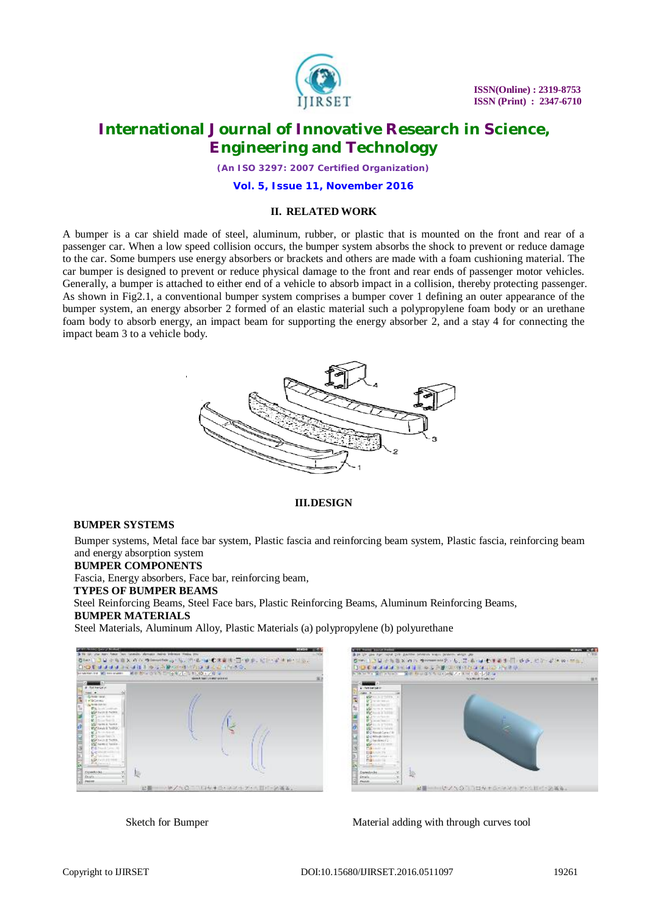

*(An ISO 3297: 2007 Certified Organization)*

**Vol. 5, Issue 11, November 2016**

### **II. RELATED WORK**

A bumper is a car shield made of steel, aluminum, rubber, or plastic that is mounted on the front and rear of a passenger car. When a low speed collision occurs, the bumper system absorbs the shock to prevent or reduce damage to the car. Some bumpers use energy absorbers or brackets and others are made with a foam cushioning material. The car bumper is designed to prevent or reduce physical damage to the front and rear ends of passenger motor vehicles. Generally, a bumper is attached to either end of a vehicle to absorb impact in a collision, thereby protecting passenger. As shown in Fig2.1, a conventional bumper system comprises a bumper cover 1 defining an outer appearance of the bumper system, an energy absorber 2 formed of an elastic material such a polypropylene foam body or an urethane foam body to absorb energy, an impact beam for supporting the energy absorber 2, and a stay 4 for connecting the impact beam 3 to a vehicle body.



### **III.DESIGN**

#### **BUMPER SYSTEMS**

Bumper systems, Metal face bar system, Plastic fascia and reinforcing beam system, Plastic fascia, reinforcing beam and energy absorption system

#### **BUMPER COMPONENTS**

Fascia, Energy absorbers, Face bar, reinforcing beam,

#### **TYPES OF BUMPER BEAMS**

Steel Reinforcing Beams, Steel Face bars, Plastic Reinforcing Beams, Aluminum Reinforcing Beams,

### **BUMPER MATERIALS**

Steel Materials, Aluminum Alloy, Plastic Materials (a) polypropylene (b) polyurethane





Sketch for Bumper Material adding with through curves tool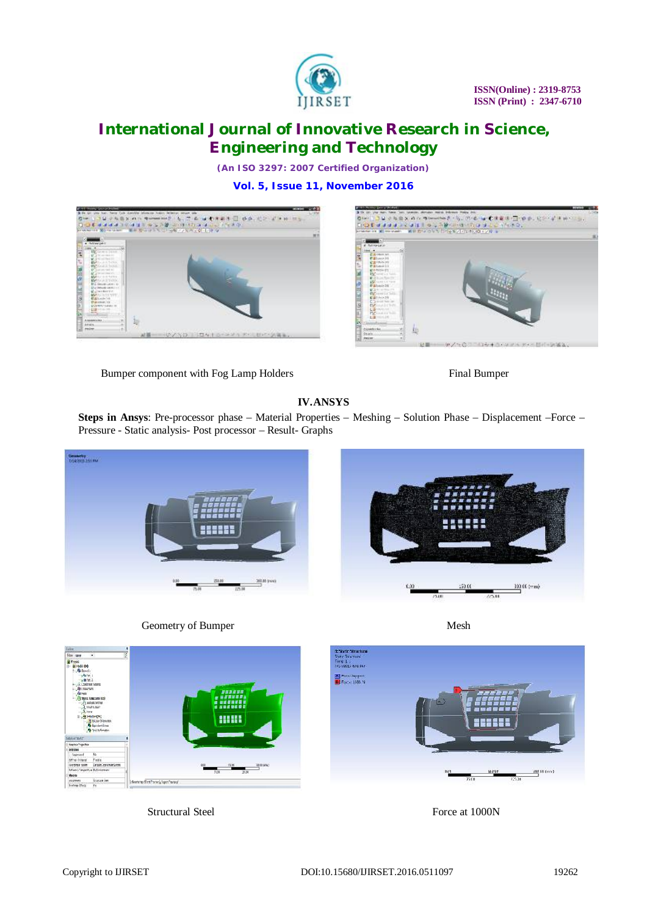

*(An ISO 3297: 2007 Certified Organization)*

**Vol. 5, Issue 11, November 2016**





Bumper component with Fog Lamp Holders Final Bumper

### **IV.ANSYS**

**Steps in Ansys**: Pre-processor phase – Material Properties – Meshing – Solution Phase – Displacement –Force – Pressure - Static analysis- Post processor – Result- Graphs





Geometry of Bumper Mesh



Structural Steel Force at 1000N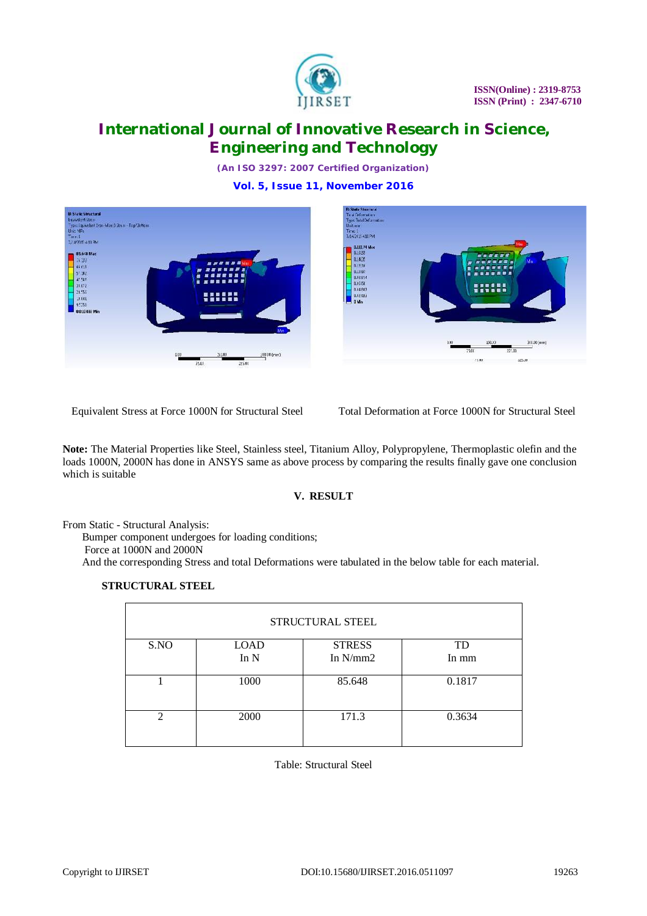

*(An ISO 3297: 2007 Certified Organization)*

**Vol. 5, Issue 11, November 2016**





Equivalent Stress at Force 1000N for Structural Steel Total Deformation at Force 1000N for Structural Steel

**Note:** The Material Properties like Steel, Stainless steel, Titanium Alloy, Polypropylene, Thermoplastic olefin and the loads 1000N, 2000N has done in ANSYS same as above process by comparing the results finally gave one conclusion which is suitable

### **V. RESULT**

From Static - Structural Analysis:

Bumper component undergoes for loading conditions; Force at 1000N and 2000N And the corresponding Stress and total Deformations were tabulated in the below table for each material.

### **STRUCTURAL STEEL**

| <b>STRUCTURAL STEEL</b> |             |               |           |
|-------------------------|-------------|---------------|-----------|
| S.NO                    | <b>LOAD</b> | <b>STRESS</b> | <b>TD</b> |
|                         | In $N$      | In $N/mm2$    | In mm     |
|                         | 1000        | 85.648        | 0.1817    |
| $\mathcal{D}$           | 2000        | 171.3         | 0.3634    |

Table: Structural Steel